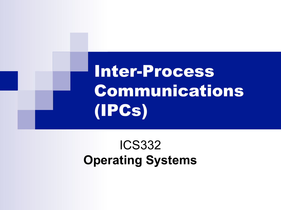Inter-Process Communications (IPCs)

### ICS332 **Operating Systems**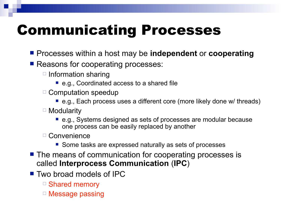# Communicating Processes

- **Processes within a host may be independent or cooperating**
- **Reasons for cooperating processes:** 
	- $\Box$  Information sharing
		- e.g., Coordinated access to a shared file
	- $\Box$  Computation speedup
		- e.g., Each process uses a different core (more likely done w/ threads)
	- $\Box$  Modularity
		- e.g., Systems designed as sets of processes are modular because one process can be easily replaced by another
	- Convenience
		- Some tasks are expressed naturally as sets of processes
- The means of communication for cooperating processes is called **Interprocess Communication** (**IPC**)
- **Two broad models of IPC** 
	- Shared memory
	- □ Message passing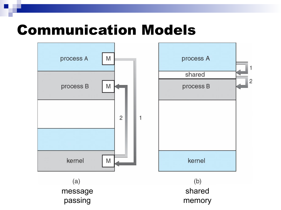### Communication Models

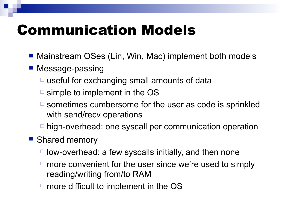## Communication Models

- Mainstream OSes (Lin, Win, Mac) implement both models
- Message-passing
	- $\Box$  useful for exchanging small amounts of data
	- $\Box$  simple to implement in the OS
	- $\Box$  sometimes cumbersome for the user as code is sprinkled with send/recv operations
	- □ high-overhead: one syscall per communication operation
- **Shared memory** 
	- $\Box$  low-overhead: a few syscalls initially, and then none
	- $\Box$  more convenient for the user since we're used to simply reading/writing from/to RAM
	- $\Box$  more difficult to implement in the OS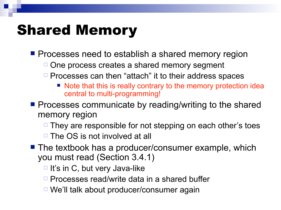## Shared Memory

**Perocesses need to establish a shared memory region** 

- $\Box$  One process creates a shared memory segment
- $\Box$  Processes can then "attach" it to their address spaces
	- Note that this is really contrary to the memory protection idea central to multi-programming!
- $\blacksquare$  Processes communicate by reading/writing to the shared memory region
	- $\Box$  They are responsible for not stepping on each other's toes
	- $\Box$  The OS is not involved at all
- The textbook has a producer/consumer example, which you must read (Section 3.4.1)
	- $\Box$  It's in C, but very Java-like
	- $\Box$  Processes read/write data in a shared buffer
	- We'll talk about producer/consumer again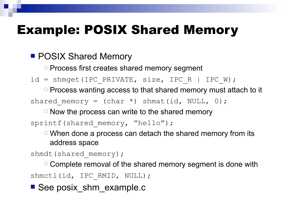### Example: POSIX Shared Memory

**POSIX Shared Memory** 

 $\Box$  Process first creates shared memory segment

 $id = shmget(IPC PRIVATE, size, IPC R | IPC W);$ 

 $\Box$  Process wanting access to that shared memory must attach to it

shared memory = (char \*) shmat(id, NULL, 0);

 $\Box$  Now the process can write to the shared memory

sprintf(shared memory, "hello");

 $\Box$  When done a process can detach the shared memory from its address space

shmdt(shared memory);

 $\Box$  Complete removal of the shared memory segment is done with shmctl(id, IPC RMID, NULL);

See posix shm example.c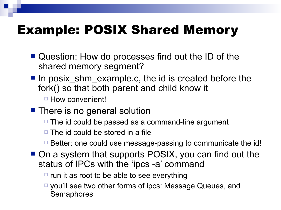### Example: POSIX Shared Memory

- **Question: How do processes find out the ID of the** shared memory segment?
- In posix shm example.c, the id is created before the fork() so that both parent and child know it

□ How convenient!

- **There is no general solution** 
	- $\Box$  The id could be passed as a command-line argument
	- $\Box$  The id could be stored in a file
	- $\Box$  Better: one could use message-passing to communicate the id!
- On a system that supports POSIX, you can find out the status of IPCs with the 'ipcs -a' command
	- $\Box$  run it as root to be able to see everything
	- □ you'll see two other forms of ipcs: Message Queues, and **Semaphores**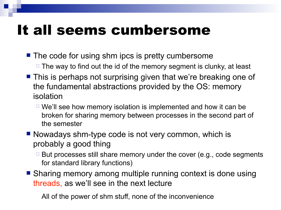## It all seems cumbersome

- The code for using shm ipcs is pretty cumbersome  $\Box$  The way to find out the id of the memory segment is clunky, at least
- **This is perhaps not surprising given that we're breaking one of** the fundamental abstractions provided by the OS: memory isolation
	- $\Box$  We'll see how memory isolation is implemented and how it can be broken for sharing memory between processes in the second part of the semester
- Nowadays shm-type code is not very common, which is probably a good thing
	- $\Box$  But processes still share memory under the cover (e.g., code segments for standard library functions)
- Sharing memory among multiple running context is done using threads, as we'll see in the next lecture

All of the power of shm stuff, none of the inconvenience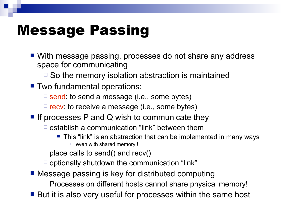## Message Passing

■ With message passing, processes do not share any address space for communicating

 $\Box$  So the memory isolation abstraction is maintained

■ Two fundamental operations:

 $\Box$  send: to send a message (i.e., some bytes)

 $\Box$  recv: to receive a message (i.e., some bytes)

**If processes P and Q wish to communicate they** 

 $\Box$  establish a communication "link" between them

- This "link" is an abstraction that can be implemented in many ways  $\Box$  even with shared memory!!
- $\Box$  place calls to send() and recv()
- $\Box$  optionally shutdown the communication "link"

■ Message passing is key for distributed computing

 $\Box$  Processes on different hosts cannot share physical memory!

■ But it is also very useful for processes within the same host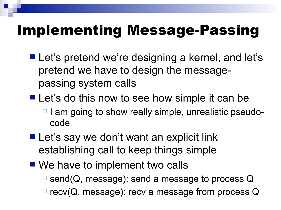- Let's pretend we're designing a kernel, and let's pretend we have to design the messagepassing system calls
- Let's do this now to see how simple it can be  $\Box$  I am going to show really simple, unrealistic pseudocode
- **Let's say we don't want an explicit link** establishing call to keep things simple
- We have to implement two calls  $\Box$  send(Q, message): send a message to process Q  $\Box$  recv(Q, message): recv a message from process Q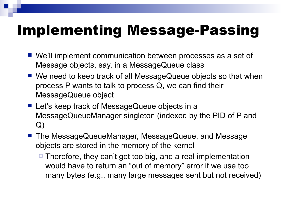- We'll implement communication between processes as a set of Message objects, say, in a MessageQueue class
- We need to keep track of all MessageQueue objects so that when process P wants to talk to process Q, we can find their MessageQueue object
- Let's keep track of MessageQueue objects in a MessageQueueManager singleton (indexed by the PID of P and Q)
- The MessageQueueManager, MessageQueue, and Message objects are stored in the memory of the kernel
	- $\Box$  Therefore, they can't get too big, and a real implementation would have to return an "out of memory" error if we use too many bytes (e.g., many large messages sent but not received)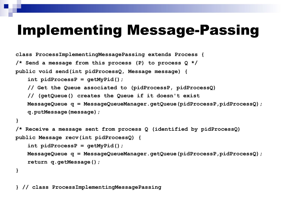```
class ProcessImplementingMessagePassing extends Process {
/* Send a message from this process (P) to process Q */
public void send(int pidProcessQ, Message message) {
   int pidProcessP = getMyPid();
   // Get the Queue associated to (pidProcessP, pidProcessQ)
   // (getQueue() creates the Queue if it doesn't exist
   MessageQueue q = MessageQueueManager.getQueue(pidProcessP,pidProcessQ);
   q.putMessage(message);
}
/* Receive a message sent from process Q (identified by pidProcessQ)
public Message recv(int pidProcessQ) {
   int pidProcessP = getMyPid();
   MessageQueue q = MessageQueueManager.getQueue(pidProcessP,pidProcessQ);
   return q.getMessage();
}
```
**} // class ProcessImplementingMessagePassing**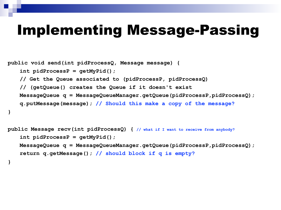```
public void send(int pidProcessQ, Message message) {
   int pidProcessP = getMyPid();
   // Get the Queue associated to (pidProcessP, pidProcessQ)
   // (getQueue() creates the Queue if it doesn't exist
   MessageQueue q = MessageQueueManager.getQueue(pidProcessP,pidProcessQ);
   q.putMessage(message); // Should this make a copy of the message?
}
```

```
public Message recv(int pidProcessQ) { // what if I want to receive from anybody?
   int pidProcessP = getMyPid();
   MessageQueue q = MessageQueueManager.getQueue(pidProcessP,pidProcessQ);
   return q.getMessage(); // should block if q is empty?
}
```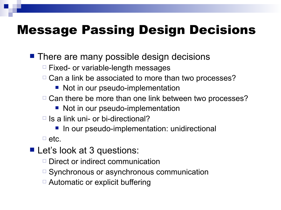### Message Passing Design Decisions

**There are many possible design decisions** 

- $\Box$  Fixed- or variable-length messages
- $\Box$  Can a link be associated to more than two processes?
	- Not in our pseudo-implementation
- $\Box$  Can there be more than one link between two processes?
	- Not in our pseudo-implementation
- $\Box$  Is a link uni- or bi-directional?
	- **In our pseudo-implementation: unidirectional**

 $\Box$  etc.

- Let's look at 3 questions:
	- $\Box$  Direct or indirect communication
	- $\Box$  Synchronous or asynchronous communication
	- □ Automatic or explicit buffering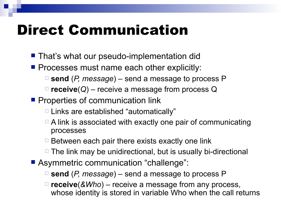## Direct Communication

- **That's what our pseudo-implementation did**
- **Processes must name each other explicitly:** 
	- **send** (*P, message*) send a message to process P
	- **receive**(*Q*) receive a message from process Q
- **Properties of communication link** 
	- $\Box$  Links are established "automatically"
	- $\Box$  A link is associated with exactly one pair of communicating processes
	- $\Box$  Between each pair there exists exactly one link
	- $\Box$  The link may be unidirectional, but is usually bi-directional
- Asymmetric communication "challenge":
	- **send** (*P, message*) send a message to process P
	- **receive**(*&Who*) receive a message from any process, whose identity is stored in variable Who when the call returns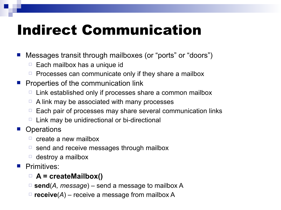# Indirect Communication

Messages transit through mailboxes (or "ports" or "doors")

- $\Box$  Each mailbox has a unique id
- $\Box$  Processes can communicate only if they share a mailbox
- Properties of the communication link
	- $\Box$  Link established only if processes share a common mailbox
	- $\Box$  A link may be associated with many processes
	- $\Box$  Each pair of processes may share several communication links
	- $\Box$  Link may be unidirectional or bi-directional
- **Operations** 
	- $\Box$  create a new mailbox
	- $\Box$  send and receive messages through mailbox
	- $\Box$  destroy a mailbox
- **Primitives:**

#### **A = createMailbox()**

- **send**(*A, message*) send a message to mailbox A
- $\Box$  **receive**(*A*) receive a message from mailbox A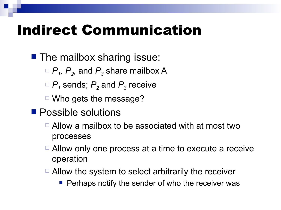## Indirect Communication

**The mailbox sharing issue:** 

 $\Box$   $P$ <sub>1</sub>,  $P$ <sub>2</sub>, and  $P$ <sub>3</sub> share mailbox A

 $\Box$   $P$ <sub>1</sub> sends;  $P$ <sub>2</sub> and  $P$ <sub>3</sub> receive

 $\Box$  Who gets the message?

- **Possible solutions** 
	- $\Box$  Allow a mailbox to be associated with at most two processes
	- $\Box$  Allow only one process at a time to execute a receive operation
	- $\Box$  Allow the system to select arbitrarily the receiver
		- **Perhaps notify the sender of who the receiver was**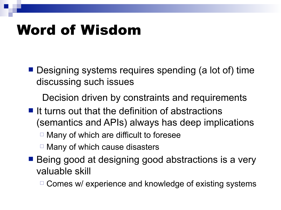## Word of Wisdom

■ Designing systems requires spending (a lot of) time discussing such issues

Decision driven by constraints and requirements

- $\blacksquare$  It turns out that the definition of abstractions (semantics and APIs) always has deep implications
	- $\Box$  Many of which are difficult to foresee
	- $\Box$  Many of which cause disasters
- Being good at designing good abstractions is a very valuable skill

 $\Box$  Comes w/ experience and knowledge of existing systems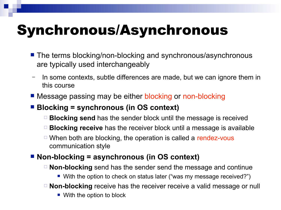# Synchronous/Asynchronous

- The terms blocking/non-blocking and synchronous/asynchronous are typically used interchangeably
- In some contexts, subtle differences are made, but we can ignore them in this course
- **Message passing may be either blocking or non-blocking**

#### **Blocking = synchronous (in OS context)**

- **Blocking send** has the sender block until the message is received
- **Blocking receive** has the receiver block until a message is available
- $\Box$  When both are blocking, the operation is called a rendez-vous communication style

#### ■ **Non-blocking = asynchronous (in OS context)**

- **Non-blocking** send has the sender send the message and continue
	- With the option to check on status later ("was my message received?")
- **Non-blocking** receive has the receiver receive a valid message or null
	- With the option to block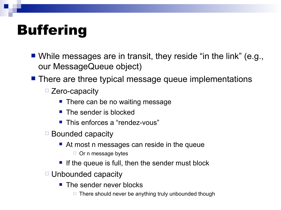# **Buffering**

- While messages are in transit, they reside "in the link" (e.g., our MessageQueue object)
- **There are three typical message queue implementations** 
	- □ Zero-capacity
		- **There can be no waiting message**
		- **The sender is blocked**
		- This enforces a "rendez-vous"
	- $\Box$  Bounded capacity
		- At most n messages can reside in the queue
			- $\Box$  Or n message bytes
		- If the queue is full, then the sender must block
	- □ Unbounded capacity
		- $\blacksquare$  The sender never blocks
			- $\Box$  There should never be anything truly unbounded though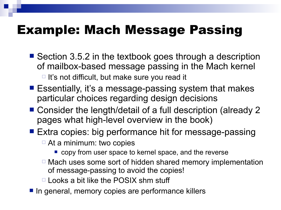### Example: Mach Message Passing

- Section 3.5.2 in the textbook goes through a description of mailbox-based message passing in the Mach kernel  $\Box$  It's not difficult, but make sure you read it
- Essentially, it's a message-passing system that makes particular choices regarding design decisions
- Consider the length/detail of a full description (already 2 pages what high-level overview in the book)
- Extra copies: big performance hit for message-passing
	- $\Box$  At a minimum: two copies
		- **Copy from user space to kernel space, and the reverse**
	- $\Box$  Mach uses some sort of hidden shared memory implementation of message-passing to avoid the copies!
	- $\Box$  Looks a bit like the POSIX shm stuff
- In general, memory copies are performance killers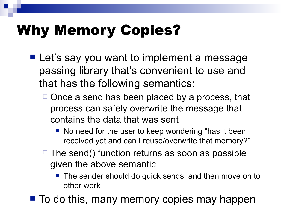# Why Memory Copies?

- **Let's say you want to implement a message** passing library that's convenient to use and that has the following semantics:
	- $\Box$  Once a send has been placed by a process, that process can safely overwrite the message that contains the data that was sent
		- No need for the user to keep wondering "has it been received yet and can I reuse/overwrite that memory?"
	- $\Box$  The send() function returns as soon as possible given the above semantic
		- **The sender should do quick sends, and then move on to** other work
- $\blacksquare$  To do this, many memory copies may happen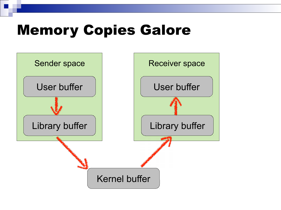## Memory Copies Galore

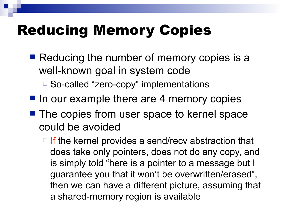# Reducing Memory Copies

- Reducing the number of memory copies is a well-known goal in system code
	- □ So-called "zero-copy" implementations
- $\blacksquare$  In our example there are 4 memory copies
- The copies from user space to kernel space could be avoided
	- $\Box$  If the kernel provides a send/recv abstraction that does take only pointers, does not do any copy, and is simply told "here is a pointer to a message but I guarantee you that it won't be overwritten/erased", then we can have a different picture, assuming that a shared-memory region is available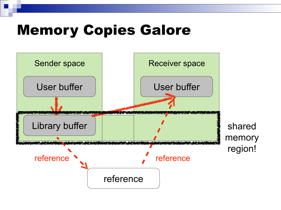## Memory Copies Galore

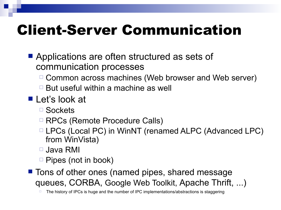# Client-Server Communication

- **Applications are often structured as sets of** communication processes
	- $\Box$  Common across machines (Web browser and Web server)
	- $\Box$  But useful within a machine as well
- Let's look at
	- □ Sockets
	- □ RPCs (Remote Procedure Calls)
	- □ LPCs (Local PC) in WinNT (renamed ALPC (Advanced LPC) from WinVista)
	- Java RMI
	- $\Box$  Pipes (not in book)
- **Tons of other ones (named pipes, shared message** queues, CORBA, Google Web Toolkit, Apache Thrift, ...)

The history of IPCs is huge and the number of IPC implementations/abstractions is staggering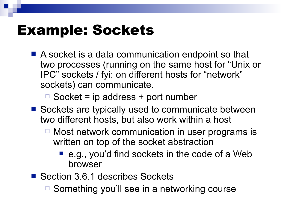## Example: Sockets

■ A socket is a data communication endpoint so that two processes (running on the same host for "Unix or IPC" sockets / fyi: on different hosts for "network" sockets) can communicate.

 $\Box$  Socket = ip address + port number

- Sockets are typically used to communicate between two different hosts, but also work within a host
	- Most network communication in user programs is written on top of the socket abstraction
		- e.g., you'd find sockets in the code of a Web browser
- Section 3.6.1 describes Sockets
	- □ Something you'll see in a networking course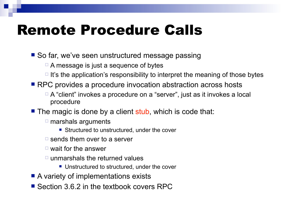## Remote Procedure Calls

■ So far, we've seen unstructured message passing

- $\Box$  A message is just a sequence of bytes
- $\Box$  It's the application's responsibility to interpret the meaning of those bytes
- RPC provides a procedure invocation abstraction across hosts
	- □ A "client" invokes a procedure on a "server", just as it invokes a local procedure
- The magic is done by a client stub, which is code that:
	- $\square$  marshals arguments
		- Structured to unstructured, under the cover
	- $\Box$  sends them over to a server
	- $\Box$  wait for the answer
	- $\Box$  unmarshals the returned values
		- Unstructured to structured, under the cover
- A variety of implementations exists
- Section 3.6.2 in the textbook covers RPC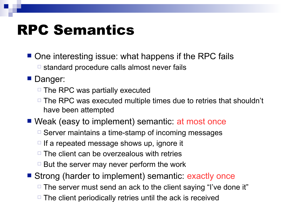## RPC Semantics

- One interesting issue: what happens if the RPC fails  $\Box$  standard procedure calls almost never fails
- **Danger:** 
	- $\Box$  The RPC was partially executed
	- $\Box$  The RPC was executed multiple times due to retries that shouldn't have been attempted
- Weak (easy to implement) semantic: at most once
	- $\Box$  Server maintains a time-stamp of incoming messages
	- $\Box$  If a repeated message shows up, ignore it
	- $\Box$  The client can be overzealous with retries
	- $\Box$  But the server may never perform the work
- Strong (harder to implement) semantic: exactly once
	- $\Box$  The server must send an ack to the client saying "I've done it"
	- $\Box$  The client periodically retries until the ack is received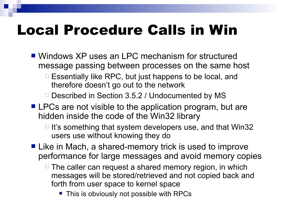# Local Procedure Calls in Win

- Windows XP uses an LPC mechanism for structured message passing between processes on the same host
	- $\Box$  Essentially like RPC, but just happens to be local, and therefore doesn't go out to the network
	- $\Box$  Described in Section 3.5.2 / Undocumented by MS
- **LPCs are not visible to the application program, but are** hidden inside the code of the Win32 library
	- $\Box$  It's something that system developers use, and that Win32 users use without knowing they do
- Like in Mach, a shared-memory trick is used to improve performance for large messages and avoid memory copies
	- $\Box$  The caller can request a shared memory region, in which messages will be stored/retrieved and not copied back and forth from user space to kernel space
		- **This is obviously not possible with RPCs**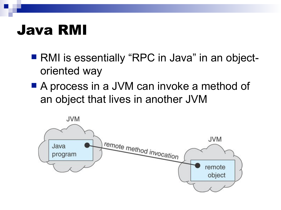### Java RMI

- RMI is essentially "RPC in Java" in an objectoriented way
- A process in a JVM can invoke a method of an object that lives in another JVM

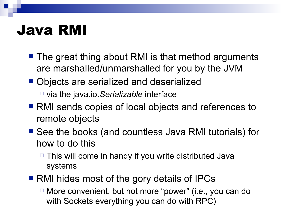### Java RMI

- The great thing about RMI is that method arguments are marshalled/unmarshalled for you by the JVM
- Objects are serialized and deserialized via the java.io.*Serializable* interface
- RMI sends copies of local objects and references to remote objects
- See the books (and countless Java RMI tutorials) for how to do this
	- $\Box$  This will come in handy if you write distributed Java systems
- RMI hides most of the gory details of IPCs
	- $\Box$  More convenient, but not more "power" (i.e., you can do with Sockets everything you can do with RPC)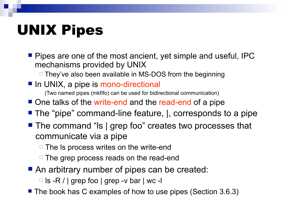# UNIX Pipes

**Pipes are one of the most ancient, yet simple and useful, IPC** mechanisms provided by UNIX

□ They've also been available in MS-DOS from the beginning

- In UNIX, a pipe is mono-directional (Two named pipes (mkfifo) can be used for bidirectional communication)
- One talks of the write-end and the read-end of a pipe
- The "pipe" command-line feature, |, corresponds to a pipe
- The command "Is | grep foo" creates two processes that communicate via a pipe
	- $\Box$  The Is process writes on the write-end
	- $\Box$  The grep process reads on the read-end
- An arbitrary number of pipes can be created:

 $\Box$  Is -R / | grep foo | grep -v bar | wc -I

■ The book has C examples of how to use pipes (Section 3.6.3)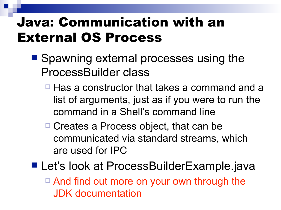### Java: Communication with an External OS Process

- Spawning external processes using the ProcessBuilder class
	- $\Box$  Has a constructor that takes a command and a list of arguments, just as if you were to run the command in a Shell's command line
	- □ Creates a Process object, that can be communicated via standard streams, which are used for IPC
- Let's look at ProcessBuilderExample.java □ And find out more on your own through the JDK documentation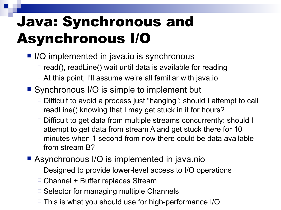# Java: Synchronous and Asynchronous I/O

- I/O implemented in java.io is synchronous
	- $\Box$  read(), readLine() wait until data is available for reading
	- $\Box$  At this point, I'll assume we're all familiar with java.io
- Synchronous I/O is simple to implement but
	- $\Box$  Difficult to avoid a process just "hanging": should I attempt to call readLine() knowing that I may get stuck in it for hours?
	- $\Box$  Difficult to get data from multiple streams concurrently: should I attempt to get data from stream A and get stuck there for 10 minutes when 1 second from now there could be data available from stream B?
- **Asynchronous I/O is implemented in java.nio** 
	- □ Designed to provide lower-level access to I/O operations
	- $\Box$  Channel + Buffer replaces Stream
	- $\Box$  Selector for managing multiple Channels
	- $\Box$  This is what you should use for high-performance I/O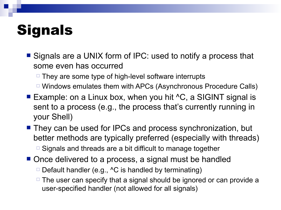# **Signals**

- Signals are a UNIX form of IPC: used to notify a process that some even has occurred
	- $\Box$  They are some type of high-level software interrupts
	- $\Box$  Windows emulates them with APCs (Asynchronous Procedure Calls)
- Example: on a Linux box, when you hit ^C, a SIGINT signal is sent to a process (e.g., the process that's currently running in your Shell)
- They can be used for IPCs and process synchronization, but better methods are typically preferred (especially with threads)  $\Box$  Signals and threads are a bit difficult to manage together
- Once delivered to a process, a signal must be handled
	- $\Box$  Default handler (e.g.,  $\Delta C$  is handled by terminating)
	- $\Box$  The user can specify that a signal should be ignored or can provide a user-specified handler (not allowed for all signals)